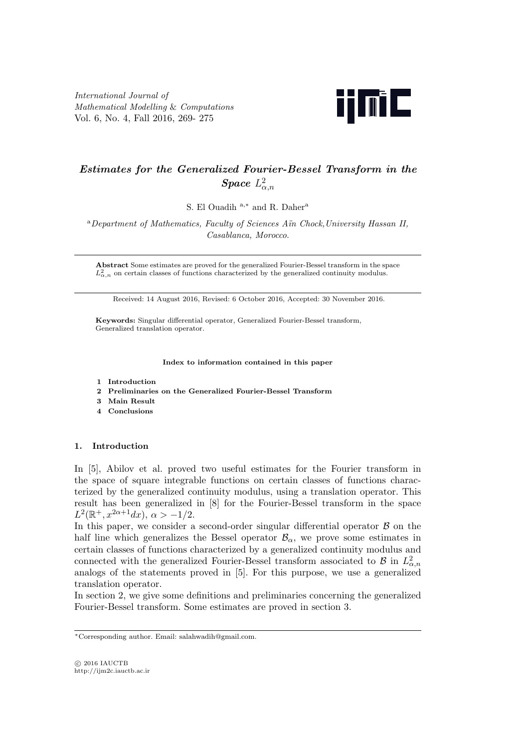*International Journal of Mathematical Modelling* & *Computations* Vol. 6, No. 4, Fall 2016, 269- 275



# *Estimates for the Generalized Fourier-Bessel Transform in the*  $Space \ L_{\alpha,n}^2$

S. El Ouadih <sup>a</sup>*,<sup>∗</sup>* and R. Daher<sup>a</sup>

<sup>a</sup>*Department of Mathematics, Faculty of Sciences A¨ın Chock,University Hassan II, Casablanca, Morocco*.

**Abstract** Some estimates are proved for the generalized Fourier-Bessel transform in the space  $L^2_{\alpha,n}$  on certain classes of functions characterized by the generalized continuity modulus.

Received: 14 August 2016, Revised: 6 October 2016, Accepted: 30 November 2016.

**Keywords:** Singular differential operator, Generalized Fourier-Bessel transform, Generalized translation operator.

**Index to information contained in this paper**

- **1 Introduction**
- **2 Preliminaries on the Generalized Fourier-Bessel Transform**
- **3 Main Result**
- **4 Conclusions**

# **1. Introduction**

In [5], Abilov et al. proved two useful estimates for the Fourier transform in the space of square integrable functions on certain classes of functions characterized by the generalized continuity modulus, using a translation operator. This result has been generalized in [8] for the Fourier-Bessel transform in the space  $L^2(\mathbb{R}^+, x^{2\alpha+1}dx), \ \alpha > -1/2.$ 

In this paper, we consider a second-order singular differential operator  $\beta$  on the half line which generalizes the Bessel operator  $\mathcal{B}_{\alpha}$ , we prove some estimates in certain classes of functions characterized by a generalized continuity modulus and connected with the generalized Fourier-Bessel transform associated to *B* in  $L^2_{\alpha,n}$ analogs of the statements proved in [5]. For this purpose, we use a generalized translation operator.

In section 2, we give some definitions and preliminaries concerning the generalized Fourier-Bessel transform. Some estimates are proved in section 3.

*<sup>∗</sup>*Corresponding author. Email: salahwadih@gmail.com.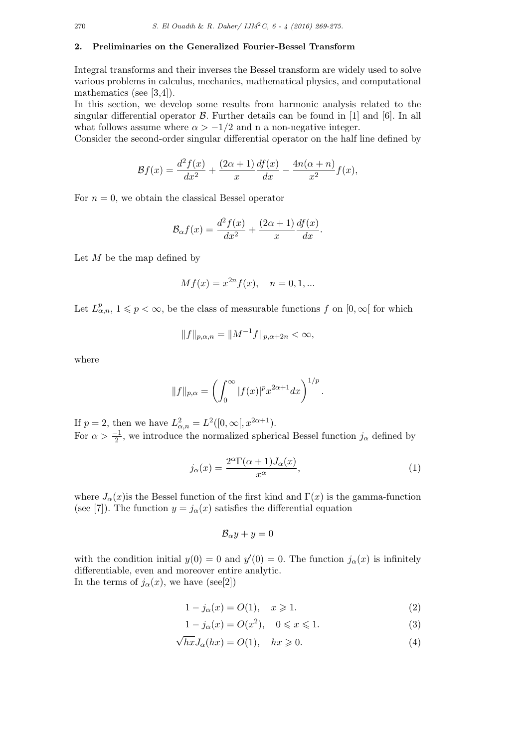## **2. Preliminaries on the Generalized Fourier-Bessel Transform**

Integral transforms and their inverses the Bessel transform are widely used to solve various problems in calculus, mechanics, mathematical physics, and computational mathematics (see [3,4]).

In this section, we develop some results from harmonic analysis related to the singular differential operator *B*. Further details can be found in [1] and [6]. In all what follows assume where  $\alpha > -1/2$  and n a non-negative integer.

Consider the second-order singular differential operator on the half line defined by

$$
\mathcal{B}f(x) = \frac{d^2f(x)}{dx^2} + \frac{(2\alpha+1)}{x} \frac{df(x)}{dx} - \frac{4n(\alpha+n)}{x^2} f(x),
$$

For  $n = 0$ , we obtain the classical Bessel operator

$$
\mathcal{B}_{\alpha}f(x) = \frac{d^2f(x)}{dx^2} + \frac{(2\alpha+1)}{x}\frac{df(x)}{dx}.
$$

Let *M* be the map defined by

$$
Mf(x) = x^{2n} f(x), \quad n = 0, 1, \dots
$$

Let  $L^p_{\alpha,n}$ ,  $1 \leq p < \infty$ , be the class of measurable functions  $f$  on  $[0, \infty[$  for which

$$
||f||_{p,\alpha,n} = ||M^{-1}f||_{p,\alpha+2n} < \infty,
$$

where

$$
||f||_{p,\alpha} = \left(\int_0^\infty |f(x)|^p x^{2\alpha+1} dx\right)^{1/p}.
$$

If  $p = 2$ , then we have  $L^2_{\alpha,n} = L^2([0,\infty[,x^{2\alpha+1}).$ For  $\alpha > \frac{-1}{2}$ , we introduce the normalized spherical Bessel function  $j_{\alpha}$  defined by

$$
j_{\alpha}(x) = \frac{2^{\alpha} \Gamma(\alpha + 1) J_{\alpha}(x)}{x^{\alpha}},
$$
\n(1)

where  $J_\alpha(x)$  is the Bessel function of the first kind and  $\Gamma(x)$  is the gamma-function (see [7]). The function  $y = j_\alpha(x)$  satisfies the differential equation

$$
\mathcal{B}_{\alpha}y + y = 0
$$

with the condition initial  $y(0) = 0$  and  $y'(0) = 0$ . The function  $j_{\alpha}(x)$  is infinitely differentiable, even and moreover entire analytic. In the terms of  $j_{\alpha}(x)$ , we have (see[2])

$$
1 - j_{\alpha}(x) = O(1), \quad x \ge 1.
$$
 (2)

$$
1 - j_{\alpha}(x) = O(x^2), \quad 0 \le x \le 1.
$$
 (3)

$$
\sqrt{hx}J_{\alpha}(hx) = O(1), \quad hx \ge 0.
$$
\n(4)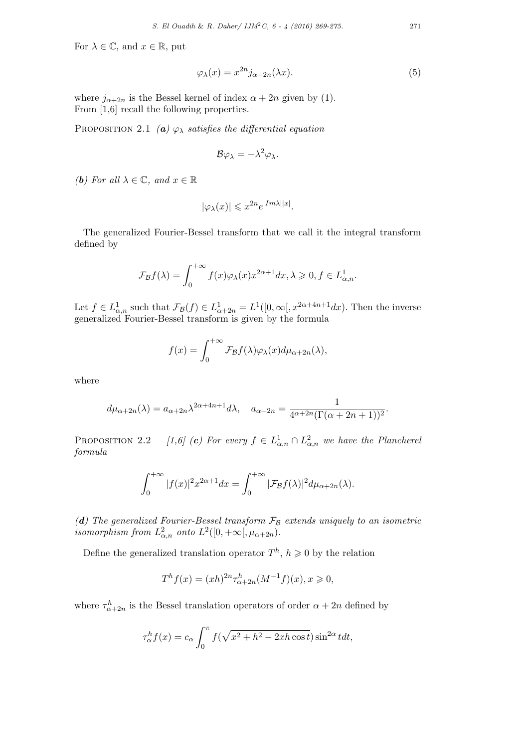For  $\lambda \in \mathbb{C}$ , and  $x \in \mathbb{R}$ , put

$$
\varphi_{\lambda}(x) = x^{2n} j_{\alpha+2n}(\lambda x). \tag{5}
$$

where  $j_{\alpha+2n}$  is the Bessel kernel of index  $\alpha + 2n$  given by (1). From [1,6] recall the following properties.

PROPOSITION 2.1 *(a)*  $\varphi_{\lambda}$  *satisfies the differential equation* 

$$
\mathcal{B}\varphi_{\lambda}=-\lambda^2\varphi_{\lambda}.
$$

*(b)* For all  $\lambda \in \mathbb{C}$ , and  $x \in \mathbb{R}$ 

$$
|\varphi_{\lambda}(x)| \leqslant x^{2n} e^{|Im \lambda||x|}.
$$

The generalized Fourier-Bessel transform that we call it the integral transform defined by

$$
\mathcal{F}_{\mathcal{B}}f(\lambda) = \int_0^{+\infty} f(x)\varphi_\lambda(x)x^{2\alpha+1}dx, \lambda \geqslant 0, f \in L^1_{\alpha,n}.
$$

Let  $f \in L^1_{\alpha,n}$  such that  $\mathcal{F}_{\mathcal{B}}(f) \in L^1_{\alpha+2n} = L^1([0,\infty[, x^{2\alpha+4n+1}dx)$ . Then the inverse generalized Fourier-Bessel transform is given by the formula

$$
f(x) = \int_0^{+\infty} \mathcal{F}_{\mathcal{B}}f(\lambda)\varphi_{\lambda}(x)d\mu_{\alpha+2n}(\lambda),
$$

where

$$
d\mu_{\alpha+2n}(\lambda) = a_{\alpha+2n}\lambda^{2\alpha+4n+1}d\lambda, \quad a_{\alpha+2n} = \frac{1}{4^{\alpha+2n}(\Gamma(\alpha+2n+1))^2}.
$$

**PROPOSITION** 2.2 *[1,6] (c) For every*  $f \in L^1_{\alpha,n} \cap L^2_{\alpha,n}$  *we have the Plancherel formula*

$$
\int_0^{+\infty} |f(x)|^2 x^{2\alpha+1} dx = \int_0^{+\infty} |\mathcal{F}_{\mathcal{B}}f(\lambda)|^2 d\mu_{\alpha+2n}(\lambda).
$$

*(d) The generalized Fourier-Bessel transform F<sup>B</sup> extends uniquely to an isometric isomorphism from*  $L^2_{\alpha,n}$  *onto*  $L^2([0,+\infty[, \mu_{\alpha+2n})$ *.* 

Define the generalized translation operator  $T^h$ ,  $h \geq 0$  by the relation

$$
T^{h} f(x) = (xh)^{2n} \tau^{h}_{\alpha+2n} (M^{-1} f)(x), x \geq 0,
$$

where  $\tau_{\alpha+2n}^h$  is the Bessel translation operators of order  $\alpha+2n$  defined by

$$
\tau_{\alpha}^{h} f(x) = c_{\alpha} \int_{0}^{\pi} f(\sqrt{x^2 + h^2 - 2xh \cos t}) \sin^{2\alpha} t dt,
$$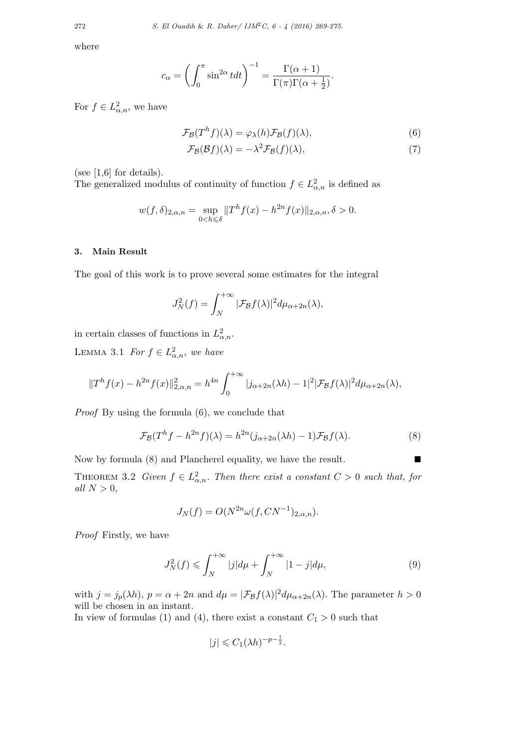where

$$
c_{\alpha} = \left(\int_0^{\pi} \sin^{2\alpha} t dt\right)^{-1} = \frac{\Gamma(\alpha+1)}{\Gamma(\pi)\Gamma(\alpha+\frac{1}{2})}.
$$

For  $f \in L^2_{\alpha,n}$ , we have

$$
\mathcal{F}_{\mathcal{B}}(T^{h}f)(\lambda) = \varphi_{\lambda}(h)\mathcal{F}_{\mathcal{B}}(f)(\lambda),\tag{6}
$$

$$
\mathcal{F}_{\mathcal{B}}(\mathcal{B}f)(\lambda) = -\lambda^2 \mathcal{F}_{\mathcal{B}}(f)(\lambda),\tag{7}
$$

(see  $[1,6]$  for details).

The generalized modulus of continuity of function  $f \in L^2_{\alpha,n}$  is defined as

$$
w(f, \delta)_{2,\alpha,n} = \sup_{0 < h \leq \delta} \|T^h f(x) - h^{2n} f(x)\|_{2,\alpha,n}, \delta > 0.
$$

## **3. Main Result**

The goal of this work is to prove several some estimates for the integral

$$
J_N^2(f) = \int_N^{+\infty} |\mathcal{F}_{\mathcal{B}}f(\lambda)|^2 d\mu_{\alpha+2n}(\lambda),
$$

in certain classes of functions in  $L^2_{\alpha,n}$ .

LEMMA 3.1 *For*  $f \in L^2_{\alpha,n}$ *, we have* 

$$
||T^{h} f(x) - h^{2n} f(x)||_{2,\alpha,n}^{2} = h^{4n} \int_{0}^{+\infty} |j_{\alpha+2n}(\lambda h) - 1|^{2} |\mathcal{F}_{\mathcal{B}}f(\lambda)|^{2} d\mu_{\alpha+2n}(\lambda),
$$

*Proof* By using the formula (6), we conclude that

$$
\mathcal{F}_{\mathcal{B}}(T^h f - h^{2n} f)(\lambda) = h^{2n} (j_{\alpha+2n}(\lambda h) - 1) \mathcal{F}_{\mathcal{B}} f(\lambda).
$$
 (8)

Now by formula (8) and Plancherel equality, we have the result. ■ THEOREM 3.2 *Given*  $f \in L^2_{\alpha,n}$ *. Then there exist a constant*  $C > 0$  *such that, for*  $all N > 0,$ 

$$
J_N(f) = O(N^{2n}\omega(f, CN^{-1})_{2,\alpha,n}).
$$

*Proof* Firstly, we have

$$
J_N^2(f) \leq \int_N^{+\infty} |j| d\mu + \int_N^{+\infty} |1 - j| d\mu,
$$
 (9)

with  $j = j_p(\lambda h)$ ,  $p = \alpha + 2n$  and  $d\mu = |\mathcal{F}_{\mathcal{B}}f(\lambda)|^2 d\mu_{\alpha+2n}(\lambda)$ . The parameter  $h > 0$ will be chosen in an instant.

In view of formulas (1) and (4), there exist a constant  $C_1 > 0$  such that

$$
|j| \leqslant C_1(\lambda h)^{-p-\frac{1}{2}}.
$$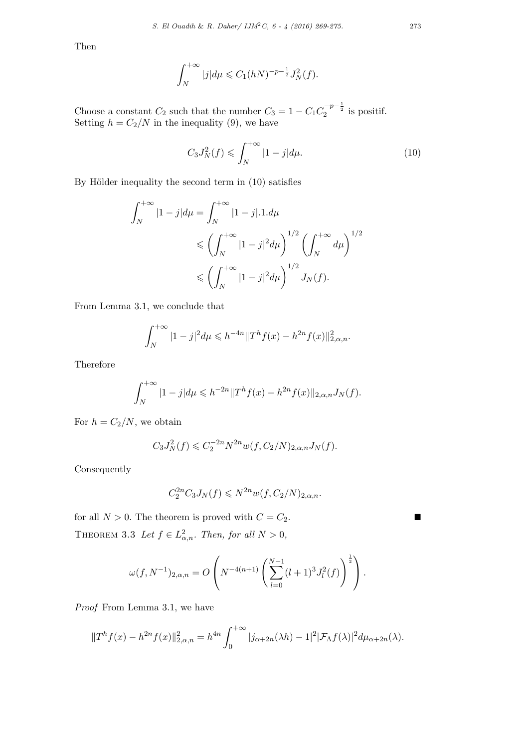Then

$$
\int_{N}^{+\infty} |j| d\mu \leq C_1 (hN)^{-p-\frac{1}{2}} J_N^2(f).
$$

Choose a constant  $C_2$  such that the number  $C_3 = 1 - C_1 C_2^{-p-\frac{1}{2}}$  is positif. Setting  $h = C_2/N$  in the inequality (9), we have

$$
C_3 J_N^2(f) \leqslant \int_N^{+\infty} |1 - j| d\mu. \tag{10}
$$

By Hölder inequality the second term in  $(10)$  satisfies

$$
\int_{N}^{+\infty} |1-j| d\mu = \int_{N}^{+\infty} |1-j| \cdot 1 \cdot d\mu
$$
  
\$\leqslant \left(\int\_{N}^{+\infty} |1-j|^2 d\mu\right)^{1/2} \left(\int\_{N}^{+\infty} d\mu\right)^{1/2}\$  
\$\leqslant \left(\int\_{N}^{+\infty} |1-j|^2 d\mu\right)^{1/2} J\_N(f)\$.

From Lemma 3.1, we conclude that

$$
\int_N^{+\infty} |1-j|^2 d\mu \leqslant h^{-4n} \|T^h f(x) - h^{2n} f(x)\|_{2,\alpha,n}^2.
$$

Therefore

$$
\int_{N}^{+\infty} |1-j| d\mu \leqslant h^{-2n} \|T^{h}f(x) - h^{2n}f(x)\|_{2,\alpha,n} J_{N}(f).
$$

For  $h = C_2/N$ , we obtain

$$
C_3 J_N^2(f) \leq C_2^{-2n} N^{2n} w(f, C_2/N)_{2,\alpha,n} J_N(f).
$$

Consequently

$$
C_2^{2n}C_3J_N(f) \leq N^{2n}w(f, C_2/N)_{2,\alpha,n}.
$$

for all  $N > 0$ . The theorem is proved with  $C = C_2$ . THEOREM 3.3 Let  $f \in L^2_{\alpha,n}$ . Then, for all  $N > 0$ ,

$$
\omega(f, N^{-1})_{2,\alpha,n} = O\left(N^{-4(n+1)}\left(\sum_{l=0}^{N-1} (l+1)^3 J_l^2(f)\right)^{\frac{1}{2}}\right).
$$

*Proof* From Lemma 3.1, we have

$$
||T^{h} f(x) - h^{2n} f(x)||_{2, \alpha, n}^{2} = h^{4n} \int_{0}^{+\infty} |j_{\alpha+2n}(\lambda h) - 1|^{2} |\mathcal{F}_{\Lambda} f(\lambda)|^{2} d\mu_{\alpha+2n}(\lambda).
$$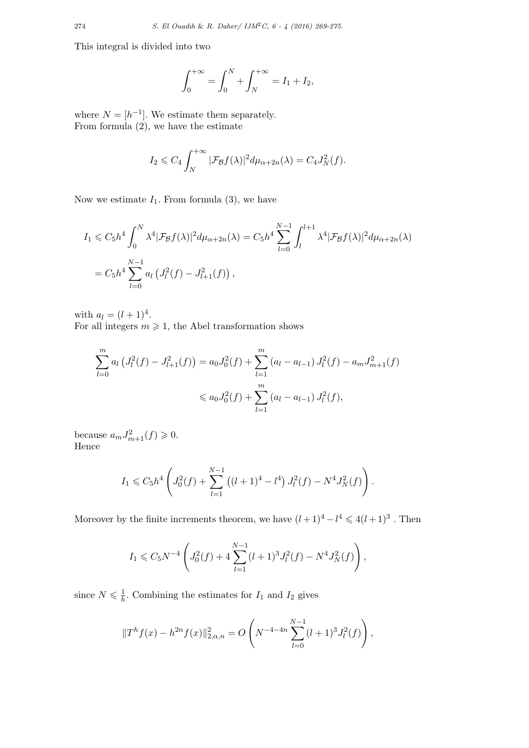This integral is divided into two

$$
\int_0^{+\infty} = \int_0^N + \int_N^{+\infty} = I_1 + I_2,
$$

where  $N = [h^{-1}]$ . We estimate them separately. From formula  $(2)$ , we have the estimate

$$
I_2 \leqslant C_4 \int_N^{+\infty} |\mathcal{F}_{\mathcal{B}}f(\lambda)|^2 d\mu_{\alpha+2n}(\lambda) = C_4 J_N^2(f).
$$

Now we estimate  $I_1$ . From formula  $(3)$ , we have

$$
I_1 \leq C_5 h^4 \int_0^N \lambda^4 |\mathcal{F}_{\mathcal{B}}f(\lambda)|^2 d\mu_{\alpha+2n}(\lambda) = C_5 h^4 \sum_{l=0}^{N-1} \int_l^{l+1} \lambda^4 |\mathcal{F}_{\mathcal{B}}f(\lambda)|^2 d\mu_{\alpha+2n}(\lambda)
$$
  
=  $C_5 h^4 \sum_{l=0}^{N-1} a_l \left( J_l^2(f) - J_{l+1}^2(f) \right),$ 

with  $a_l = (l + 1)^4$ .

For all integers  $m \geq 1$ , the Abel transformation shows

$$
\sum_{l=0}^{m} a_l \left( J_l^2(f) - J_{l+1}^2(f) \right) = a_0 J_0^2(f) + \sum_{l=1}^{m} \left( a_l - a_{l-1} \right) J_l^2(f) - a_m J_{m+1}^2(f)
$$
  

$$
\leq a_0 J_0^2(f) + \sum_{l=1}^{m} \left( a_l - a_{l-1} \right) J_l^2(f),
$$

because  $a_m J_{m+1}^2(f) \geqslant 0$ . Hence

$$
I_1 \leqslant C_5 h^4 \left( J_0^2(f) + \sum_{l=1}^{N-1} \left( (l+1)^4 - l^4 \right) J_l^2(f) - N^4 J_N^2(f) \right).
$$

Moreover by the finite increments theorem, we have  $(l+1)^4 - l^4 \leq 4(l+1)^3$ . Then

$$
I_1 \leq C_5 N^{-4} \left( J_0^2(f) + 4 \sum_{l=1}^{N-1} (l+1)^3 J_l^2(f) - N^4 J_N^2(f) \right),
$$

since  $N \leqslant \frac{1}{h}$  $\frac{1}{h}$ . Combining the estimates for  $I_1$  and  $I_2$  gives

$$
||Th f(x) - h2n f(x)||_{2,\alpha,n}^{2} = O\left(N^{-4-4n} \sum_{l=0}^{N-1} (l+1)^{3} J_{l}^{2}(f)\right),
$$